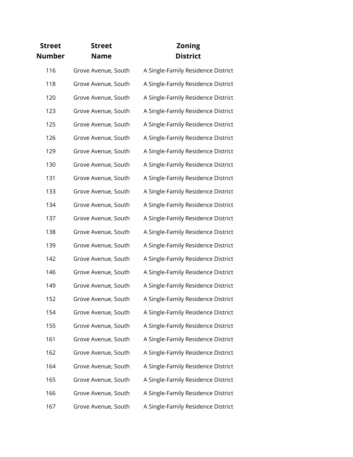| <b>Street</b> | <b>Street</b>       | <b>Zoning</b>                      |
|---------------|---------------------|------------------------------------|
| <b>Number</b> | <b>Name</b>         | <b>District</b>                    |
| 116           | Grove Avenue, South | A Single-Family Residence District |
| 118           | Grove Avenue, South | A Single-Family Residence District |
| 120           | Grove Avenue, South | A Single-Family Residence District |
| 123           | Grove Avenue, South | A Single-Family Residence District |
| 125           | Grove Avenue, South | A Single-Family Residence District |
| 126           | Grove Avenue, South | A Single-Family Residence District |
| 129           | Grove Avenue, South | A Single-Family Residence District |
| 130           | Grove Avenue, South | A Single-Family Residence District |
| 131           | Grove Avenue, South | A Single-Family Residence District |
| 133           | Grove Avenue, South | A Single-Family Residence District |
| 134           | Grove Avenue, South | A Single-Family Residence District |
| 137           | Grove Avenue, South | A Single-Family Residence District |
| 138           | Grove Avenue, South | A Single-Family Residence District |
| 139           | Grove Avenue, South | A Single-Family Residence District |
| 142           | Grove Avenue, South | A Single-Family Residence District |
| 146           | Grove Avenue, South | A Single-Family Residence District |
| 149           | Grove Avenue, South | A Single-Family Residence District |
| 152           | Grove Avenue, South | A Single-Family Residence District |
| 154           | Grove Avenue, South | A Single-Family Residence District |
| 155           | Grove Avenue, South | A Single-Family Residence District |
| 161           | Grove Avenue, South | A Single-Family Residence District |
| 162           | Grove Avenue, South | A Single-Family Residence District |
| 164           | Grove Avenue, South | A Single-Family Residence District |
| 165           | Grove Avenue, South | A Single-Family Residence District |
| 166           | Grove Avenue, South | A Single-Family Residence District |
| 167           | Grove Avenue, South | A Single-Family Residence District |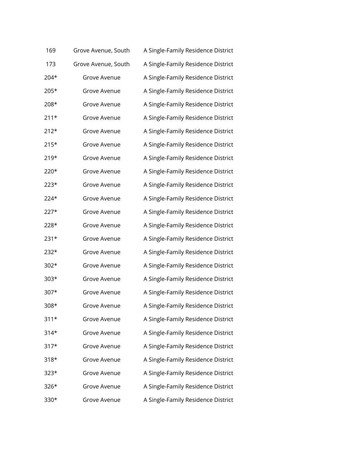| 169    | Grove Avenue, South | A Single-Family Residence District |
|--------|---------------------|------------------------------------|
| 173    | Grove Avenue, South | A Single-Family Residence District |
| $204*$ | Grove Avenue        | A Single-Family Residence District |
| $205*$ | Grove Avenue        | A Single-Family Residence District |
| 208*   | Grove Avenue        | A Single-Family Residence District |
| $211*$ | Grove Avenue        | A Single-Family Residence District |
| $212*$ | Grove Avenue        | A Single-Family Residence District |
| $215*$ | Grove Avenue        | A Single-Family Residence District |
| $219*$ | Grove Avenue        | A Single-Family Residence District |
| 220*   | Grove Avenue        | A Single-Family Residence District |
| $223*$ | Grove Avenue        | A Single-Family Residence District |
| 224*   | Grove Avenue        | A Single-Family Residence District |
| $227*$ | Grove Avenue        | A Single-Family Residence District |
| 228*   | Grove Avenue        | A Single-Family Residence District |
| 231*   | Grove Avenue        | A Single-Family Residence District |
| 232*   | Grove Avenue        | A Single-Family Residence District |
| $302*$ | Grove Avenue        | A Single-Family Residence District |
| $303*$ | Grove Avenue        | A Single-Family Residence District |
| 307*   | Grove Avenue        | A Single-Family Residence District |
| 308*   | Grove Avenue        | A Single-Family Residence District |
| $311*$ | Grove Avenue        | A Single-Family Residence District |
| 314*   | Grove Avenue        | A Single-Family Residence District |
| 317*   | Grove Avenue        | A Single-Family Residence District |
| $318*$ | Grove Avenue        | A Single-Family Residence District |
| $323*$ | Grove Avenue        | A Single-Family Residence District |
| $326*$ | Grove Avenue        | A Single-Family Residence District |
| 330*   | Grove Avenue        | A Single-Family Residence District |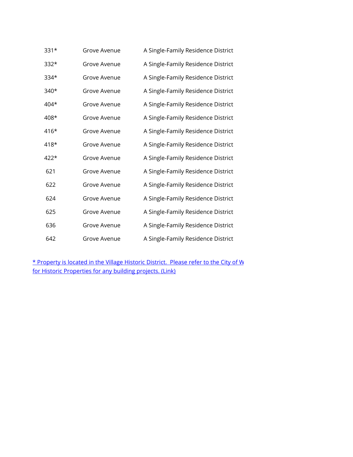| $331*$ | Grove Avenue | A Single-Family Residence District |
|--------|--------------|------------------------------------|
| $332*$ | Grove Avenue | A Single-Family Residence District |
| 334*   | Grove Avenue | A Single-Family Residence District |
| $340*$ | Grove Avenue | A Single-Family Residence District |
| 404*   | Grove Avenue | A Single-Family Residence District |
| 408*   | Grove Avenue | A Single-Family Residence District |
| $416*$ | Grove Avenue | A Single-Family Residence District |
| 418*   | Grove Avenue | A Single-Family Residence District |
| $422*$ | Grove Avenue | A Single-Family Residence District |
| 621    | Grove Avenue | A Single-Family Residence District |
| 622    | Grove Avenue | A Single-Family Residence District |
| 624    | Grove Avenue | A Single-Family Residence District |
| 625    | Grove Avenue | A Single-Family Residence District |
| 636    | Grove Avenue | A Single-Family Residence District |
| 642    | Grove Avenue | A Single-Family Residence District |

[\\* Property is l](https://wyomingohio.gov/download/Historic Preservation Documents/Design Guidelines for Historic Properties.pdf)ocated in the Village Historic District. Please refer to the City of W [for Historic Pr](https://wyomingohio.gov/download/Historic Preservation Documents/Design Guidelines for Historic Properties.pdf)operties for any building projects. (Link)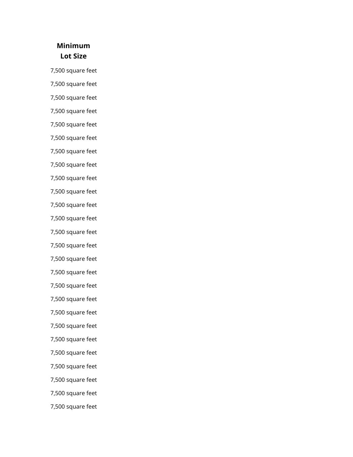## **Minimum Lot Size**

7,500 square feet

7,500 square feet

7,500 square feet

7,500 square feet

7,500 square feet

7,500 square feet

7,500 square feet

7,500 square feet

7,500 square feet

7,500 square feet

7,500 square feet

7,500 square feet

7,500 square feet

7,500 square feet

7,500 square feet

7,500 square feet

7,500 square feet

7,500 square feet

7,500 square feet

7,500 square feet

7,500 square feet

7,500 square feet

7,500 square feet

7,500 square feet

7,500 square feet

7,500 square feet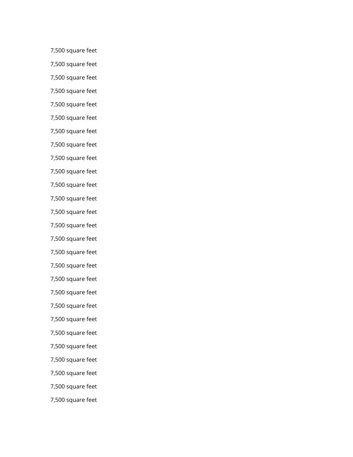7,500 square feet

7,500 square feet

7,500 square feet

7,500 square feet

7,500 square feet

7,500 square feet

7,500 square feet

7,500 square feet

7,500 square feet

7,500 square feet

7,500 square feet

7,500 square feet

7,500 square feet

7,500 square feet

7,500 square feet

7,500 square feet

7,500 square feet

7,500 square feet

7,500 square feet

7,500 square feet

7,500 square feet

7,500 square feet

7,500 square feet

7,500 square feet

7,500 square feet

7,500 square feet

7,500 square feet